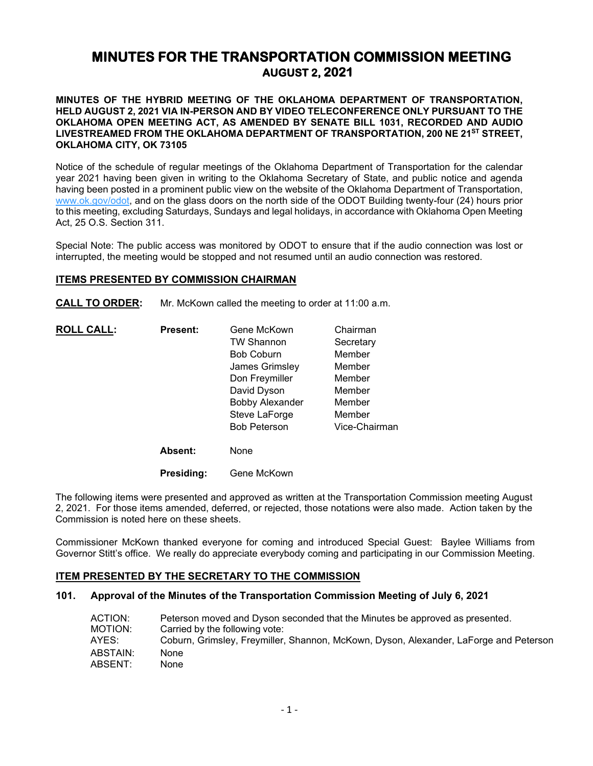# **MINUTES FOR THE TRANSPORTATION COMMISSION MEETING AUGUST 2, 2021**

**MINUTES OF THE HYBRID MEETING OF THE OKLAHOMA DEPARTMENT OF TRANSPORTATION, HELD AUGUST 2, 2021 VIA IN-PERSON AND BY VIDEO TELECONFERENCE ONLY PURSUANT TO THE OKLAHOMA OPEN MEETING ACT, AS AMENDED BY SENATE BILL 1031, RECORDED AND AUDIO LIVESTREAMED FROM THE OKLAHOMA DEPARTMENT OF TRANSPORTATION, 200 NE 21ST STREET, OKLAHOMA CITY, OK 73105**

Notice of the schedule of regular meetings of the Oklahoma Department of Transportation for the calendar year 2021 having been given in writing to the Oklahoma Secretary of State, and public notice and agenda having been posted in a prominent public view on the website of the Oklahoma Department of Transportation, [www.ok.gov/odot,](http://www.ok.gov/odot) and on the glass doors on the north side of the ODOT Building twenty-four (24) hours prior to this meeting, excluding Saturdays, Sundays and legal holidays, in accordance with Oklahoma Open Meeting Act, 25 O.S. Section 311.

Special Note: The public access was monitored by ODOT to ensure that if the audio connection was lost or interrupted, the meeting would be stopped and not resumed until an audio connection was restored.

# **ITEMS PRESENTED BY COMMISSION CHAIRMAN**

**CALL TO ORDER:** Mr. McKown called the meeting to order at 11:00 a.m.

| <b>Present:</b> | Gene McKown            | Chairman      |
|-----------------|------------------------|---------------|
|                 | <b>TW Shannon</b>      | Secretary     |
|                 | <b>Bob Coburn</b>      | Member        |
|                 | James Grimsley         | Member        |
|                 | Don Freymiller         | Member        |
|                 | David Dyson            | Member        |
|                 | <b>Bobby Alexander</b> | Member        |
|                 | Steve LaForge          | Member        |
|                 | <b>Bob Peterson</b>    | Vice-Chairman |
| <b>Absent:</b>  | None                   |               |
|                 |                        |               |

**Presiding:** Gene McKown

The following items were presented and approved as written at the Transportation Commission meeting August 2, 2021. For those items amended, deferred, or rejected, those notations were also made. Action taken by the Commission is noted here on these sheets.

Commissioner McKown thanked everyone for coming and introduced Special Guest: Baylee Williams from Governor Stitt's office. We really do appreciate everybody coming and participating in our Commission Meeting.

# **ITEM PRESENTED BY THE SECRETARY TO THE COMMISSION**

#### **101. Approval of the Minutes of the Transportation Commission Meeting of July 6, 2021**

| ACTION:  | Peterson moved and Dyson seconded that the Minutes be approved as presented.          |
|----------|---------------------------------------------------------------------------------------|
| MOTION:  | Carried by the following vote:                                                        |
| AYES:    | Coburn, Grimsley, Freymiller, Shannon, McKown, Dyson, Alexander, LaForge and Peterson |
| ABSTAIN: | None                                                                                  |
| ABSENT:  | None                                                                                  |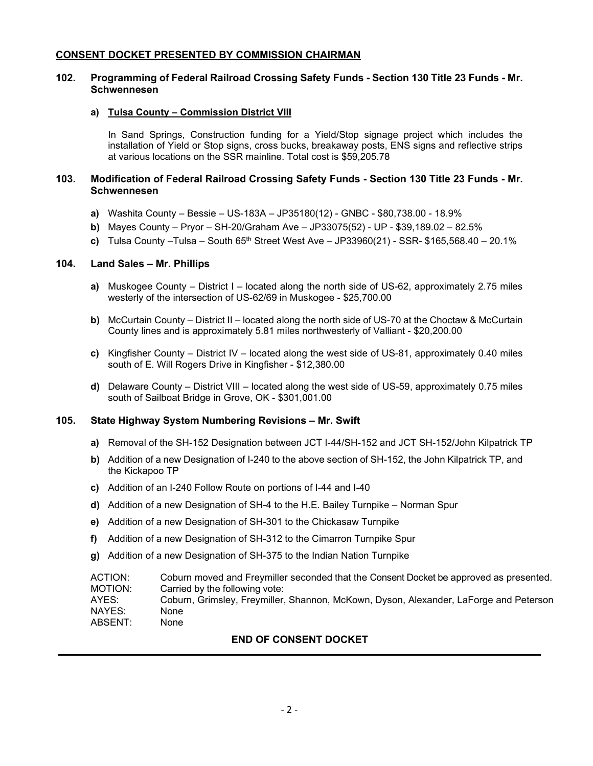# **CONSENT DOCKET PRESENTED BY COMMISSION CHAIRMAN**

# **102. Programming of Federal Railroad Crossing Safety Funds - Section 130 Title 23 Funds - Mr. Schwennesen**

### **a) Tulsa County – Commission District VIII**

In Sand Springs, Construction funding for a Yield/Stop signage project which includes the installation of Yield or Stop signs, cross bucks, breakaway posts, ENS signs and reflective strips at various locations on the SSR mainline. Total cost is \$59,205.78

# **103. Modification of Federal Railroad Crossing Safety Funds - Section 130 Title 23 Funds - Mr. Schwennesen**

- **a)** Washita County Bessie US-183A JP35180(12) GNBC \$80,738.00 18.9%
- **b)** Mayes County Pryor SH-20/Graham Ave JP33075(52) UP \$39,189.02 82.5%
- **c)** Tulsa County –Tulsa South 65th Street West Ave JP33960(21) SSR- \$165,568.40 20.1%

# **104. Land Sales – Mr. Phillips**

- **a)** Muskogee County District I located along the north side of US-62, approximately 2.75 miles westerly of the intersection of US-62/69 in Muskogee - \$25,700.00
- **b)** McCurtain County District II located along the north side of US-70 at the Choctaw & McCurtain County lines and is approximately 5.81 miles northwesterly of Valliant - \$20,200.00
- **c)** Kingfisher County District IV located along the west side of US-81, approximately 0.40 miles south of E. Will Rogers Drive in Kingfisher - \$12,380.00
- **d)** Delaware County District VIII located along the west side of US-59, approximately 0.75 miles south of Sailboat Bridge in Grove, OK - \$301,001.00

# **105. State Highway System Numbering Revisions – Mr. Swift**

- **a)** Removal of the SH-152 Designation between JCT I-44/SH-152 and JCT SH-152/John Kilpatrick TP
- **b)** Addition of a new Designation of I-240 to the above section of SH-152, the John Kilpatrick TP, and the Kickapoo TP
- **c)** Addition of an I-240 Follow Route on portions of I-44 and I-40
- **d)** Addition of a new Designation of SH-4 to the H.E. Bailey Turnpike Norman Spur
- **e)** Addition of a new Designation of SH-301 to the Chickasaw Turnpike
- **f)** Addition of a new Designation of SH-312 to the Cimarron Turnpike Spur
- **g)** Addition of a new Designation of SH-375 to the Indian Nation Turnpike

| ACTION: | Coburn moved and Freymiller seconded that the Consent Docket be approved as presented. |
|---------|----------------------------------------------------------------------------------------|
| MOTION: | Carried by the following vote:                                                         |
| AYES:   | Coburn, Grimsley, Freymiller, Shannon, McKown, Dyson, Alexander, LaForge and Peterson  |
| NAYES:  | None                                                                                   |
| ABSENT: | None                                                                                   |

# **END OF CONSENT DOCKET**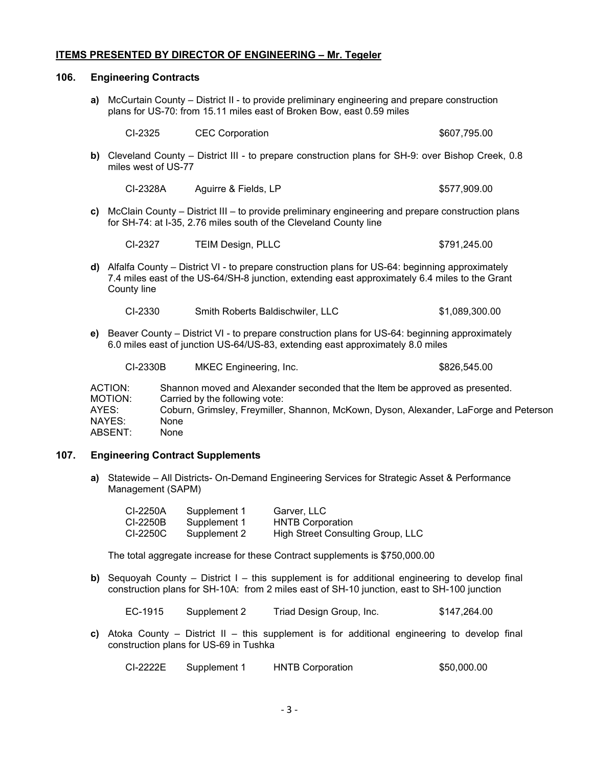# **ITEMS PRESENTED BY DIRECTOR OF ENGINEERING – Mr. Tegeler**

#### **106. Engineering Contracts**

**a)** McCurtain County – District II - to provide preliminary engineering and prepare construction plans for US-70: from 15.11 miles east of Broken Bow, east 0.59 miles

| CI-2325<br>\$607,795.00<br><b>CEC Corporation</b> |  |
|---------------------------------------------------|--|
|---------------------------------------------------|--|

**b)** Cleveland County – District III - to prepare construction plans for SH-9: over Bishop Creek, 0.8 miles west of US-77

| CI-2328A | Aguirre & Fields, LP | \$577,909.00 |
|----------|----------------------|--------------|
|          |                      |              |

**c)** McClain County – District III – to provide preliminary engineering and prepare construction plans for SH-74: at I-35, 2.76 miles south of the Cleveland County line

| CI-2327 | <b>TEIM Design, PLLC</b> | \$791,245.00 |
|---------|--------------------------|--------------|
|         |                          |              |

**d)** Alfalfa County – District VI - to prepare construction plans for US-64: beginning approximately 7.4 miles east of the US-64/SH-8 junction, extending east approximately 6.4 miles to the Grant County line

| CI-2330 | Smith Roberts Baldischwiler, LLC | \$1,089,300.00 |
|---------|----------------------------------|----------------|
|---------|----------------------------------|----------------|

**e)** Beaver County – District VI - to prepare construction plans for US-64: beginning approximately 6.0 miles east of junction US-64/US-83, extending east approximately 8.0 miles

| CI-2330B           | <b>MKEC Engineering, Inc.</b>                                                                                  | \$826,545.00                                                                          |
|--------------------|----------------------------------------------------------------------------------------------------------------|---------------------------------------------------------------------------------------|
| ACTION:<br>MOTION: | Shannon moved and Alexander seconded that the Item be approved as presented.<br>Carried by the following vote: |                                                                                       |
| AYES:              |                                                                                                                | Coburn, Grimsley, Freymiller, Shannon, McKown, Dyson, Alexander, LaForge and Peterson |
| NAYES:             | None                                                                                                           |                                                                                       |
| ABSENT:            | None                                                                                                           |                                                                                       |

#### **107. Engineering Contract Supplements**

**a)** Statewide – All Districts- On-Demand Engineering Services for Strategic Asset & Performance Management (SAPM)

| CI-2250A | Supplement 1 | Garver, LLC                       |
|----------|--------------|-----------------------------------|
| CI-2250B | Supplement 1 | <b>HNTB Corporation</b>           |
| CI-2250C | Supplement 2 | High Street Consulting Group, LLC |

The total aggregate increase for these Contract supplements is \$750,000.00

**b)** Sequoyah County – District I – this supplement is for additional engineering to develop final construction plans for SH-10A: from 2 miles east of SH-10 junction, east to SH-100 junction

EC-1915 Supplement 2 Triad Design Group, Inc. \$147,264.00

**c)** Atoka County – District II – this supplement is for additional engineering to develop final construction plans for US-69 in Tushka

| CI-2222E | Supplement 1 | <b>HNTB Corporation</b> | \$50,000.00 |
|----------|--------------|-------------------------|-------------|
|          |              |                         |             |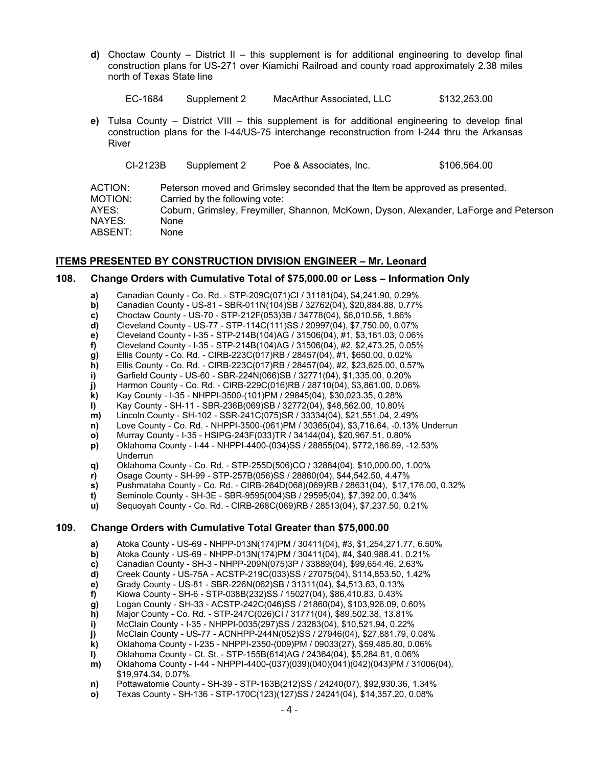**d)** Choctaw County – District II – this supplement is for additional engineering to develop final construction plans for US-271 over Kiamichi Railroad and county road approximately 2.38 miles north of Texas State line

| EC-1684 | Supplement 2 | MacArthur Associated, LLC | \$132,253.00 |
|---------|--------------|---------------------------|--------------|
|---------|--------------|---------------------------|--------------|

**e)** Tulsa County – District VIII – this supplement is for additional engineering to develop final construction plans for the I-44/US-75 interchange reconstruction from I-244 thru the Arkansas River

|                    | CI-2123B | Supplement 2                   | Poe & Associates, Inc.                                                       | \$106,564.00                                                                          |
|--------------------|----------|--------------------------------|------------------------------------------------------------------------------|---------------------------------------------------------------------------------------|
| ACTION:<br>MOTION: |          | Carried by the following vote: | Peterson moved and Grimsley seconded that the Item be approved as presented. |                                                                                       |
| AYES:              |          |                                |                                                                              | Coburn, Grimsley, Freymiller, Shannon, McKown, Dyson, Alexander, LaForge and Peterson |
| NAYES:             |          | None                           |                                                                              |                                                                                       |
| ABSENT:            |          | None                           |                                                                              |                                                                                       |

#### **ITEMS PRESENTED BY CONSTRUCTION DIVISION ENGINEER – Mr. Leonard**

#### **108. Change Orders with Cumulative Total of \$75,000.00 or Less – Information Only**

- **a)** Canadian County Co. Rd. STP-209C(071)CI / 31181(04), \$4,241.90, 0.29%
- **b)** Canadian County US-81 SBR-011N(104)SB / 32762(04), \$20,884.88, 0.77%<br>**c)** Choctaw County US-70 STP-212F(053)3B / 34778(04), \$6,010.56, 1.86%
- **c)** Choctaw County US-70 STP-212F(053)3B / 34778(04), \$6,010.56, 1.86%
- **d)** Cleveland County US-77 STP-114C(111)SS / 20997(04), \$7,750.00, 0.07%
- **e)** Cleveland County I-35 STP-214B(104)AG / 31506(04), #1, \$3,161.03, 0.06%<br>**f)** Cleveland County I-35 STP-214B(104)AG / 31506(04), #2, \$2,473.25, 0.05%
- **f)** Cleveland County I-35 STP-214B(104)AG / 31506(04), #2, \$2,473.25, 0.05%<br>**g)** Ellis County Co. Rd. CIRB-223C(017)RB / 28457(04), #1, \$650.00, 0.02%
- **g)** Ellis County Co. Rd. CIRB-223C(017)RB / 28457(04), #1, \$650.00, 0.02%
- **h)** Ellis County Co. Rd. CIRB-223C(017)RB / 28457(04), #2, \$23,625.00, 0.57%<br>**i)** Garfield County US-60 SBR-224N(066)SB / 32771(04), \$1,335.00, 0.20% **i)** Garfield County - US-60 - SBR-224N(066)SB / 32771(04), \$1,335.00, 0.20%
- 
- **j)** Harmon County Co. Rd. CIRB-229C(016)RB / 28710(04), \$3,861.00, 0.06% **k)** Kay County - I-35 - NHPPI-3500-(101)PM / 29845(04), \$30,023.35, 0.28%
- **l)** Kay County SH-11 SBR-236B(069)SB / 32772(04), \$48,562.00, 10.80%
- **m)** Lincoln County SH-102 SSR-241C(075)SR / 33334(04), \$21,551.04, 2.49%
- **n)** Love County Co. Rd. NHPPI-3500-(061)PM / 30365(04), \$3,716.64, -0.13% Underrun
- **o)** Murray County I-35 HSIPG-243F(033)TR / 34144(04), \$20,967.51, 0.80%
- **p)** Oklahoma County I-44 NHPPI-4400-(034)SS / 28855(04), \$772,186.89, -12.53% Underrun
- **q)** Oklahoma County Co. Rd. STP-255D(506)CO / 32884(04), \$10,000.00, 1.00%
- **r)** Osage County SH-99 STP-257B(056)SS / 28860(04), \$44,542.50, 4.47%
- **s)** Pushmataha County Co. Rd. CIRB-264D(068)(069)RB / 28631(04), \$17,176.00, 0.32%
- **t)** Seminole County SH-3E SBR-9595(004)SB / 29595(04), \$7,392.00, 0.34%
- **u)** Sequoyah County Co. Rd. CIRB-268C(069)RB / 28513(04), \$7,237.50, 0.21%

## **109. Change Orders with Cumulative Total Greater than \$75,000.00**

- 
- **a)** Atoka County US-69 NHPP-013N(174)PM / 30411(04), #3, \$1,254,271.77, 6.50%
- **b)** Atoka County US-69 NHPP-013N(174)PM / 30411(04), #4, \$40,988.41, 0.21%<br>**c)** Canadian County SH-3 NHPP-209N(075)3P / 33889(04), \$99,654.46, 2.63% **c)** Canadian County - SH-3 - NHPP-209N(075)3P / 33889(04), \$99,654.46, 2.63%
- **d)** Creek County US-75A ACSTP-219C(033)SS / 27075(04), \$114,853.50, 1.42%
- **e)** Grady County US-81 SBR-226N(062)SB / 31311(04), \$4,513.63, 0.13%
- **f)** Kiowa County SH-6 STP-038B(232)SS / 15027(04), \$86,410.83, 0.43%
- **g)** Logan County SH-33 ACSTP-242C(046)SS / 21860(04), \$103,926.09, 0.60%
- **h)** Major County Co. Rd. STP-247C(026)CI / 31771(04), \$89,502.38, 13.81%
- 
- **i)** McClain County I-35 NHPPI-0035(297)SS / 23283(04), \$10,521.94, 0.22%<br>**j)** McClain County US-77 ACNHPP-244N(052)SS / 27946(04), \$27,881.79, 0<br>**k)** Oklahoma County I-235 NHPPI-2350-(009)PM / 09033(27), \$59,4 **j)** McClain County - US-77 - ACNHPP-244N(052)SS / 27946(04), \$27,881.79, 0.08%
- **k)** Oklahoma County I-235 NHPPI-2350-(009)PM / 09033(27), \$59,485.80, 0.06%<br>**I)** Oklahoma County Ct. St. STP-155B(614)AG / 24364(04), \$5,284.81, 0.06%
- **l)** Oklahoma County Ct. St. STP-155B(614)AG / 24364(04), \$5,284.81, 0.06%<br>**m)** Oklahoma County I-44 NHPPI-4400-(037)(039)(040)(041)(042)(043)PM / 31
- **m)** Oklahoma County I-44 NHPPI-4400-(037)(039)(040)(041)(042)(043)PM / 31006(04), \$19,974.34, 0.07%
- **n)** Pottawatomie County SH-39 STP-163B(212)SS / 24240(07), \$92,930.36, 1.34%
- **o)** Texas County SH-136 STP-170C(123)(127)SS / 24241(04), \$14,357.20, 0.08%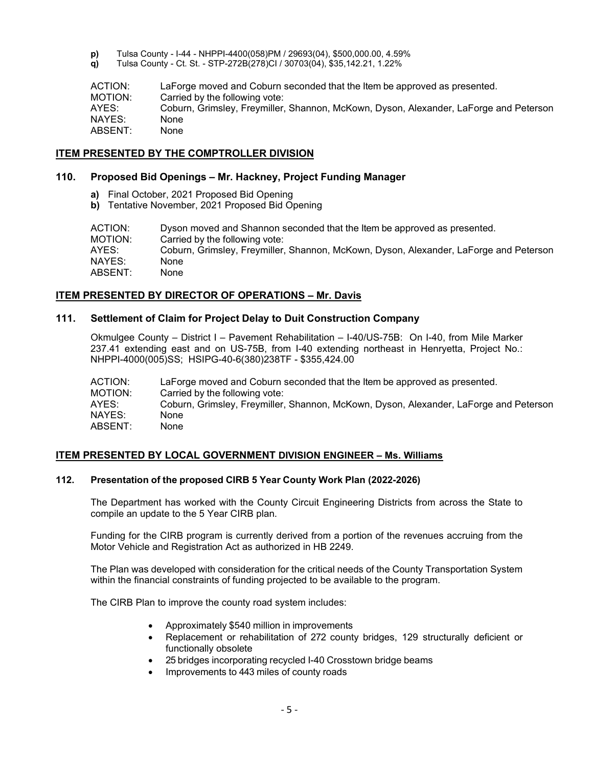- **p)** Tulsa County I-44 NHPPI-4400(058)PM / 29693(04), \$500,000.00, 4.59%
- **q)** Tulsa County Ct. St. STP-272B(278)CI / 30703(04), \$35,142.21, 1.22%

ACTION: LaForge moved and Coburn seconded that the Item be approved as presented. MOTION: Carried by the following vote: AYES: Coburn, Grimsley, Freymiller, Shannon, McKown, Dyson, Alexander, LaForge and Peterson NAYES: None ABSENT: None

# **ITEM PRESENTED BY THE COMPTROLLER DIVISION**

# **110. Proposed Bid Openings – Mr. Hackney, Project Funding Manager**

- **a)** Final October, 2021 Proposed Bid Opening
- **b)** Tentative November, 2021 Proposed Bid Opening

ACTION: Dyson moved and Shannon seconded that the Item be approved as presented. MOTION: Carried by the following vote: AYES: Coburn, Grimsley, Freymiller, Shannon, McKown, Dyson, Alexander, LaForge and Peterson NAYES: None ABSENT: None

# **ITEM PRESENTED BY DIRECTOR OF OPERATIONS – Mr. Davis**

# **111. Settlement of Claim for Project Delay to Duit Construction Company**

Okmulgee County – District I – Pavement Rehabilitation – I-40/US-75B: On I-40, from Mile Marker 237.41 extending east and on US-75B, from I-40 extending northeast in Henryetta, Project No.: NHPPI-4000(005)SS; HSIPG-40-6(380)238TF - \$355,424.00

ACTION: LaForge moved and Coburn seconded that the Item be approved as presented. MOTION: Carried by the following vote: AYES: Coburn, Grimsley, Freymiller, Shannon, McKown, Dyson, Alexander, LaForge and Peterson NAYES: ABSENT: None

#### **ITEM PRESENTED BY LOCAL GOVERNMENT DIVISION ENGINEER – Ms. Williams**

## **112. Presentation of the proposed CIRB 5 Year County Work Plan (2022-2026)**

The Department has worked with the County Circuit Engineering Districts from across the State to compile an update to the 5 Year CIRB plan.

Funding for the CIRB program is currently derived from a portion of the revenues accruing from the Motor Vehicle and Registration Act as authorized in HB 2249.

The Plan was developed with consideration for the critical needs of the County Transportation System within the financial constraints of funding projected to be available to the program.

The CIRB Plan to improve the county road system includes:

- Approximately \$540 million in improvements
- Replacement or rehabilitation of 272 county bridges, 129 structurally deficient or functionally obsolete
- 25 bridges incorporating recycled I-40 Crosstown bridge beams
- Improvements to 443 miles of county roads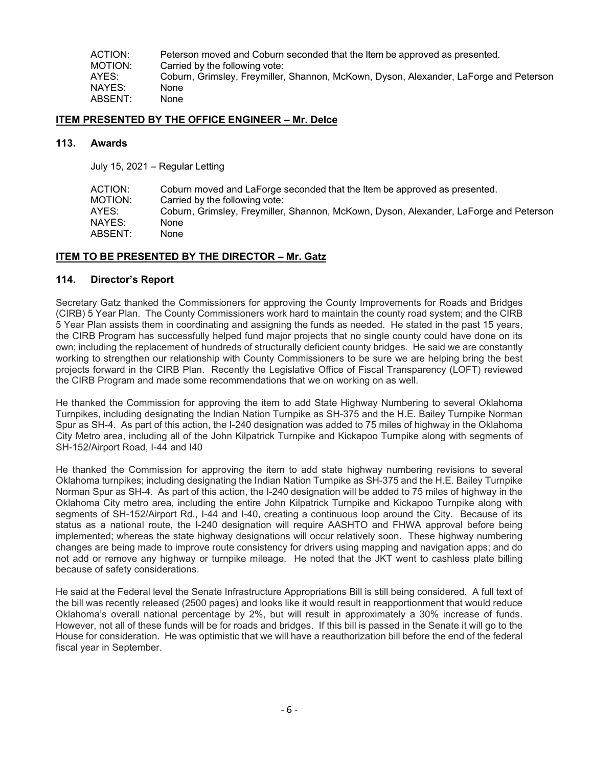ACTION: Peterson moved and Coburn seconded that the Item be approved as presented. MOTION: Carried by the following vote:<br>AYES: Coburn. Grimslev. Frevmiller. Coburn, Grimsley, Freymiller, Shannon, McKown, Dyson, Alexander, LaForge and Peterson NAYES: None ABSENT: None

### **ITEM PRESENTED BY THE OFFICE ENGINEER – Mr. Delce**

#### **113. Awards**

July 15, 2021 – Regular Letting

| ACTION: | Coburn moved and LaForge seconded that the Item be approved as presented.             |
|---------|---------------------------------------------------------------------------------------|
| MOTION: | Carried by the following vote:                                                        |
| AYES:   | Coburn, Grimsley, Freymiller, Shannon, McKown, Dyson, Alexander, LaForge and Peterson |
| NAYES:  | None                                                                                  |
| ABSENT: | None                                                                                  |

# **ITEM TO BE PRESENTED BY THE DIRECTOR – Mr. Gatz**

# **114. Director's Report**

Secretary Gatz thanked the Commissioners for approving the County Improvements for Roads and Bridges (CIRB) 5 Year Plan. The County Commissioners work hard to maintain the county road system; and the CIRB 5 Year Plan assists them in coordinating and assigning the funds as needed. He stated in the past 15 years, the CIRB Program has successfully helped fund major projects that no single county could have done on its own; including the replacement of hundreds of structurally deficient county bridges. He said we are constantly working to strengthen our relationship with County Commissioners to be sure we are helping bring the best projects forward in the CIRB Plan. Recently the Legislative Office of Fiscal Transparency (LOFT) reviewed the CIRB Program and made some recommendations that we on working on as well.

He thanked the Commission for approving the item to add State Highway Numbering to several Oklahoma Turnpikes, including designating the Indian Nation Turnpike as SH-375 and the H.E. Bailey Turnpike Norman Spur as SH-4. As part of this action, the I-240 designation was added to 75 miles of highway in the Oklahoma City Metro area, including all of the John Kilpatrick Turnpike and Kickapoo Turnpike along with segments of SH-152/Airport Road, I-44 and I40

He thanked the Commission for approving the item to add state highway numbering revisions to several Oklahoma turnpikes; including designating the Indian Nation Turnpike as SH-375 and the H.E. Bailey Turnpike Norman Spur as SH-4. As part of this action, the I-240 designation will be added to 75 miles of highway in the Oklahoma City metro area, including the entire John Kilpatrick Turnpike and Kickapoo Turnpike along with segments of SH-152/Airport Rd., I-44 and I-40, creating a continuous loop around the City. Because of its status as a national route, the I-240 designation will require AASHTO and FHWA approval before being implemented; whereas the state highway designations will occur relatively soon. These highway numbering changes are being made to improve route consistency for drivers using mapping and navigation apps; and do not add or remove any highway or turnpike mileage. He noted that the JKT went to cashless plate billing because of safety considerations.

He said at the Federal level the Senate Infrastructure Appropriations Bill is still being considered. A full text of the bill was recently released (2500 pages) and looks like it would result in reapportionment that would reduce Oklahoma's overall national percentage by 2%, but will result in approximately a 30% increase of funds. However, not all of these funds will be for roads and bridges. If this bill is passed in the Senate it will go to the House for consideration. He was optimistic that we will have a reauthorization bill before the end of the federal fiscal year in September.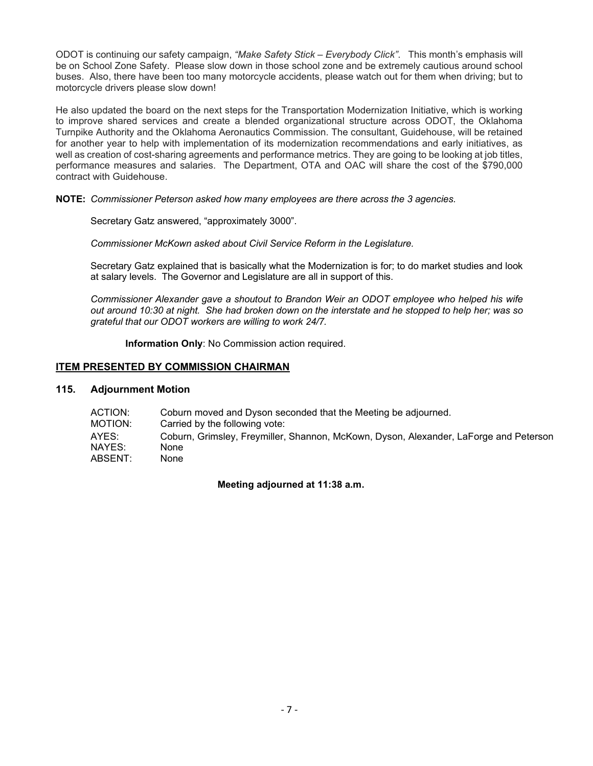ODOT is continuing our safety campaign, *"Make Safety Stick – Everybody Click"*. This month's emphasis will be on School Zone Safety. Please slow down in those school zone and be extremely cautious around school buses. Also, there have been too many motorcycle accidents, please watch out for them when driving; but to motorcycle drivers please slow down!

He also updated the board on the next steps for the Transportation Modernization Initiative, which is working to improve shared services and create a blended organizational structure across ODOT, the Oklahoma Turnpike Authority and the Oklahoma Aeronautics Commission. The consultant, Guidehouse, will be retained for another year to help with implementation of its modernization recommendations and early initiatives, as well as creation of cost-sharing agreements and performance metrics. They are going to be looking at job titles, performance measures and salaries. The Department, OTA and OAC will share the cost of the \$790,000 contract with Guidehouse.

**NOTE:** *Commissioner Peterson asked how many employees are there across the 3 agencies.* 

Secretary Gatz answered, "approximately 3000".

*Commissioner McKown asked about Civil Service Reform in the Legislature.*

Secretary Gatz explained that is basically what the Modernization is for; to do market studies and look at salary levels. The Governor and Legislature are all in support of this.

*Commissioner Alexander gave a shoutout to Brandon Weir an ODOT employee who helped his wife out around 10:30 at night. She had broken down on the interstate and he stopped to help her; was so grateful that our ODOT workers are willing to work 24/7.* 

**Information Only**: No Commission action required.

# **ITEM PRESENTED BY COMMISSION CHAIRMAN**

# **115. Adjournment Motion**

| ACTION: | Coburn moved and Dyson seconded that the Meeting be adjourned.                        |
|---------|---------------------------------------------------------------------------------------|
| MOTION: | Carried by the following vote:                                                        |
| AYES:   | Coburn, Grimsley, Freymiller, Shannon, McKown, Dyson, Alexander, LaForge and Peterson |
| NAYES:  | None                                                                                  |
| ABSENT: | None                                                                                  |

**Meeting adjourned at 11:38 a.m.**